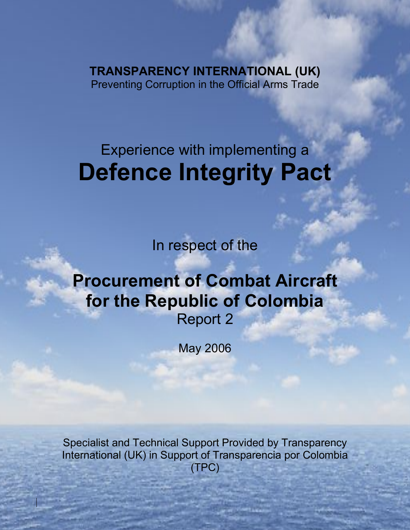**TRANSPARENCY INTERNATIONAL (UK)** Preventing Corruption in the Official Arms Trade

Defence procurement and Integity Pacts in Colombia, Report 2: Combat Aircraft

# Experience with implementing a **Defence Integrity Pact**

In respect of the

## **Procurement of Combat Aircraft for the Republic of Colombia** Report 2

May 2006

Specialist and Technical Support Provided by Transparency International (UK) in Support of Transparencia por Colombia (TPC)

1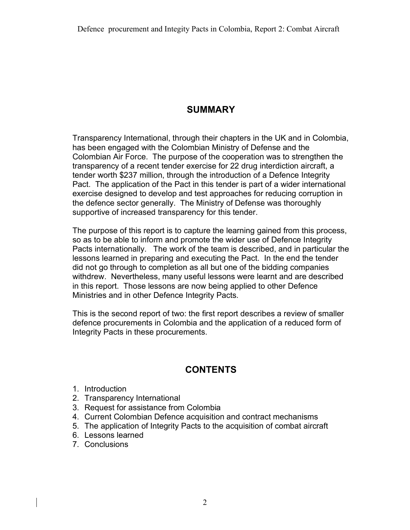## **SUMMARY**

Transparency International, through their chapters in the UK and in Colombia, has been engaged with the Colombian Ministry of Defense and the Colombian Air Force. The purpose of the cooperation was to strengthen the transparency of a recent tender exercise for 22 drug interdiction aircraft, a tender worth \$237 million, through the introduction of a Defence Integrity Pact. The application of the Pact in this tender is part of a wider international exercise designed to develop and test approaches for reducing corruption in the defence sector generally. The Ministry of Defense was thoroughly supportive of increased transparency for this tender.

The purpose of this report is to capture the learning gained from this process, so as to be able to inform and promote the wider use of Defence Integrity Pacts internationally. The work of the team is described, and in particular the lessons learned in preparing and executing the Pact. In the end the tender did not go through to completion as all but one of the bidding companies withdrew. Nevertheless, many useful lessons were learnt and are described in this report. Those lessons are now being applied to other Defence Ministries and in other Defence Integrity Pacts.

This is the second report of two: the first report describes a review of smaller defence procurements in Colombia and the application of a reduced form of Integrity Pacts in these procurements.

## **CONTENTS**

- 1. Introduction
- 2. Transparency International
- 3. Request for assistance from Colombia
- 4. Current Colombian Defence acquisition and contract mechanisms
- 5. The application of Integrity Pacts to the acquisition of combat aircraft
- 6. Lessons learned
- 7. Conclusions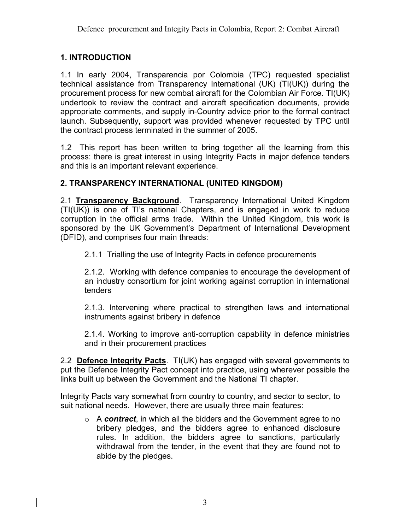## **1. INTRODUCTION**

1.1 In early 2004, Transparencia por Colombia (TPC) requested specialist technical assistance from Transparency International (UK) (TI(UK)) during the procurement process for new combat aircraft for the Colombian Air Force. TI(UK) undertook to review the contract and aircraft specification documents, provide appropriate comments, and supply in-Country advice prior to the formal contract launch. Subsequently, support was provided whenever requested by TPC until the contract process terminated in the summer of 2005.

1.2 This report has been written to bring together all the learning from this process: there is great interest in using Integrity Pacts in major defence tenders and this is an important relevant experience.

## **2. TRANSPARENCY INTERNATIONAL (UNITED KINGDOM)**

2.1 **Transparency Background**. Transparency International United Kingdom (TI(UK)) is one of TI's national Chapters, and is engaged in work to reduce corruption in the official arms trade. Within the United Kingdom, this work is sponsored by the UK Government's Department of International Development (DFID), and comprises four main threads:

2.1.1 Trialling the use of Integrity Pacts in defence procurements

2.1.2. Working with defence companies to encourage the development of an industry consortium for joint working against corruption in international tenders

2.1.3. Intervening where practical to strengthen laws and international instruments against bribery in defence

2.1.4. Working to improve anti-corruption capability in defence ministries and in their procurement practices

2.2 **Defence Integrity Pacts**. TI(UK) has engaged with several governments to put the Defence Integrity Pact concept into practice, using wherever possible the links built up between the Government and the National TI chapter.

Integrity Pacts vary somewhat from country to country, and sector to sector, to suit national needs. However, there are usually three main features:

o A *contract*, in which all the bidders and the Government agree to no bribery pledges, and the bidders agree to enhanced disclosure rules. In addition, the bidders agree to sanctions, particularly withdrawal from the tender, in the event that they are found not to abide by the pledges.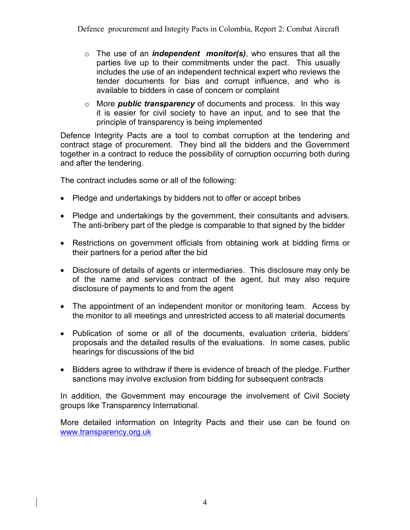- o The use of an *independent monitor(s)*, who ensures that all the parties live up to their commitments under the pact. This usually includes the use of an independent technical expert who reviews the tender documents for bias and corrupt influence, and who is available to bidders in case of concern or complaint
- o More *public transparency* of documents and process. In this way it is easier for civil society to have an input, and to see that the principle of transparency is being implemented

Defence Integrity Pacts are a tool to combat corruption at the tendering and contract stage of procurement. They bind all the bidders and the Government together in a contract to reduce the possibility of corruption occurring both during and after the tendering.

The contract includes some or all of the following:

- Pledge and undertakings by bidders not to offer or accept bribes
- Pledge and undertakings by the government, their consultants and advisers. The anti-bribery part of the pledge is comparable to that signed by the bidder
- Restrictions on government officials from obtaining work at bidding firms or their partners for a period after the bid
- Disclosure of details of agents or intermediaries. This disclosure may only be of the name and services contract of the agent, but may also require disclosure of payments to and from the agent
- The appointment of an independent monitor or monitoring team. Access by the monitor to all meetings and unrestricted access to all material documents
- Publication of some or all of the documents, evaluation criteria, bidders' proposals and the detailed results of the evaluations. In some cases, public hearings for discussions of the bid
- Bidders agree to withdraw if there is evidence of breach of the pledge. Further sanctions may involve exclusion from bidding for subsequent contracts

In addition, the Government may encourage the involvement of Civil Society groups like Transparency International.

More detailed information on Integrity Pacts and their use can be found on www.transparency.org.uk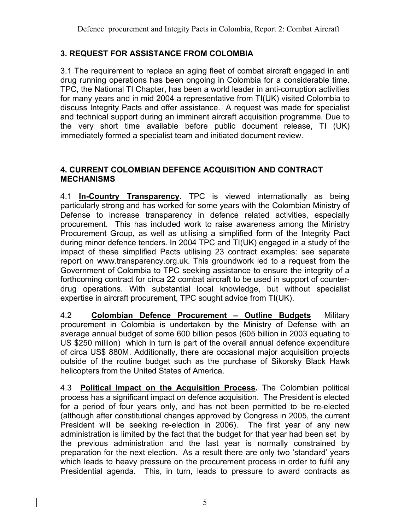#### **3. REQUEST FOR ASSISTANCE FROM COLOMBIA**

3.1 The requirement to replace an aging fleet of combat aircraft engaged in anti drug running operations has been ongoing in Colombia for a considerable time. TPC, the National TI Chapter, has been a world leader in anti-corruption activities for many years and in mid 2004 a representative from TI(UK) visited Colombia to discuss Integrity Pacts and offer assistance. A request was made for specialist and technical support during an imminent aircraft acquisition programme. Due to the very short time available before public document release, TI (UK) immediately formed a specialist team and initiated document review.

#### **4. CURRENT COLOMBIAN DEFENCE ACQUISITION AND CONTRACT MECHANISMS**

4.1 **In-Country Transparency**. TPC is viewed internationally as being particularly strong and has worked for some years with the Colombian Ministry of Defense to increase transparency in defence related activities, especially procurement. This has included work to raise awareness among the Ministry Procurement Group, as well as utilising a simplified form of the Integrity Pact during minor defence tenders. In 2004 TPC and TI(UK) engaged in a study of the impact of these simplified Pacts utilising 23 contract examples: see separate report on www.transparency.org.uk. This groundwork led to a request from the Government of Colombia to TPC seeking assistance to ensure the integrity of a forthcoming contract for circa 22 combat aircraft to be used in support of counterdrug operations. With substantial local knowledge, but without specialist expertise in aircraft procurement, TPC sought advice from TI(UK).

4.2 **Colombian Defence Procurement – Outline Budgets** Military procurement in Colombia is undertaken by the Ministry of Defense with an average annual budget of some 600 billion pesos (605 billion in 2003 equating to US \$250 million) which in turn is part of the overall annual defence expenditure of circa US\$ 880M. Additionally, there are occasional major acquisition projects outside of the routine budget such as the purchase of Sikorsky Black Hawk helicopters from the United States of America.

4.3 **Political Impact on the Acquisition Process.** The Colombian political process has a significant impact on defence acquisition. The President is elected for a period of four years only, and has not been permitted to be re-elected (although after constitutional changes approved by Congress in 2005, the current President will be seeking re-election in 2006). The first year of any new administration is limited by the fact that the budget for that year had been set by the previous administration and the last year is normally constrained by preparation for the next election. As a result there are only two 'standard' years which leads to heavy pressure on the procurement process in order to fulfil any Presidential agenda. This, in turn, leads to pressure to award contracts as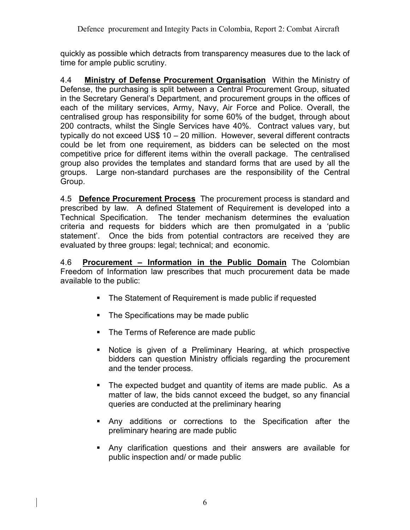quickly as possible which detracts from transparency measures due to the lack of time for ample public scrutiny.

4.4 **Ministry of Defense Procurement Organisation** Within the Ministry of Defense, the purchasing is split between a Central Procurement Group, situated in the Secretary General's Department, and procurement groups in the offices of each of the military services, Army, Navy, Air Force and Police. Overall, the centralised group has responsibility for some 60% of the budget, through about 200 contracts, whilst the Single Services have 40%. Contract values vary, but typically do not exceed US\$ 10 – 20 million. However, several different contracts could be let from one requirement, as bidders can be selected on the most competitive price for different items within the overall package. The centralised group also provides the templates and standard forms that are used by all the groups. Large non-standard purchases are the responsibility of the Central Group.

4.5 **Defence Procurement Process** The procurement process is standard and prescribed by law. A defined Statement of Requirement is developed into a Technical Specification. The tender mechanism determines the evaluation criteria and requests for bidders which are then promulgated in a 'public statement'. Once the bids from potential contractors are received they are evaluated by three groups: legal; technical; and economic.

4.6 **Procurement – Information in the Public Domain** The Colombian Freedom of Information law prescribes that much procurement data be made available to the public:

- The Statement of Requirement is made public if requested
- The Specifications may be made public
- The Terms of Reference are made public
- Notice is given of a Preliminary Hearing, at which prospective bidders can question Ministry officials regarding the procurement and the tender process.
- The expected budget and quantity of items are made public. As a matter of law, the bids cannot exceed the budget, so any financial queries are conducted at the preliminary hearing
- § Any additions or corrections to the Specification after the preliminary hearing are made public
- § Any clarification questions and their answers are available for public inspection and/ or made public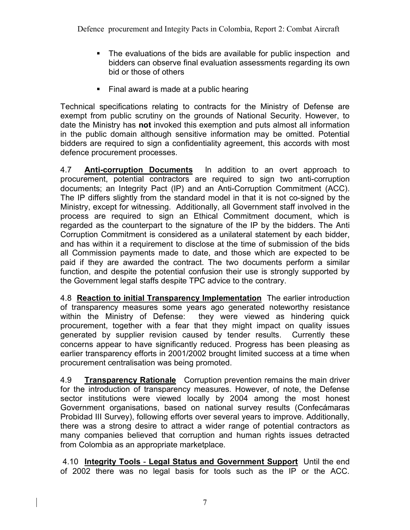- The evaluations of the bids are available for public inspection and bidders can observe final evaluation assessments regarding its own bid or those of others
- Final award is made at a public hearing

Technical specifications relating to contracts for the Ministry of Defense are exempt from public scrutiny on the grounds of National Security. However, to date the Ministry has **not** invoked this exemption and puts almost all information in the public domain although sensitive information may be omitted. Potential bidders are required to sign a confidentiality agreement, this accords with most defence procurement processes.

4.7 **Anti-corruption Documents** In addition to an overt approach to procurement, potential contractors are required to sign two anti-corruption documents; an Integrity Pact (IP) and an Anti-Corruption Commitment (ACC). The IP differs slightly from the standard model in that it is not co-signed by the Ministry, except for witnessing. Additionally, all Government staff involved in the process are required to sign an Ethical Commitment document, which is regarded as the counterpart to the signature of the IP by the bidders. The Anti Corruption Commitment is considered as a unilateral statement by each bidder, and has within it a requirement to disclose at the time of submission of the bids all Commission payments made to date, and those which are expected to be paid if they are awarded the contract. The two documents perform a similar function, and despite the potential confusion their use is strongly supported by the Government legal staffs despite TPC advice to the contrary.

4.8 **Reaction to initial Transparency Implementation** The earlier introduction of transparency measures some years ago generated noteworthy resistance within the Ministry of Defense: they were viewed as hindering quick procurement, together with a fear that they might impact on quality issues generated by supplier revision caused by tender results. Currently these concerns appear to have significantly reduced. Progress has been pleasing as earlier transparency efforts in 2001/2002 brought limited success at a time when procurement centralisation was being promoted.

4.9 **Transparency Rationale** Corruption prevention remains the main driver for the introduction of transparency measures. However, of note, the Defense sector institutions were viewed locally by 2004 among the most honest Government organisations, based on national survey results (Confecámaras Probidad III Survey), following efforts over several years to improve. Additionally, there was a strong desire to attract a wider range of potential contractors as many companies believed that corruption and human rights issues detracted from Colombia as an appropriate marketplace.

4.10 **Integrity Tools** - **Legal Status and Government Support** Until the end of 2002 there was no legal basis for tools such as the IP or the ACC.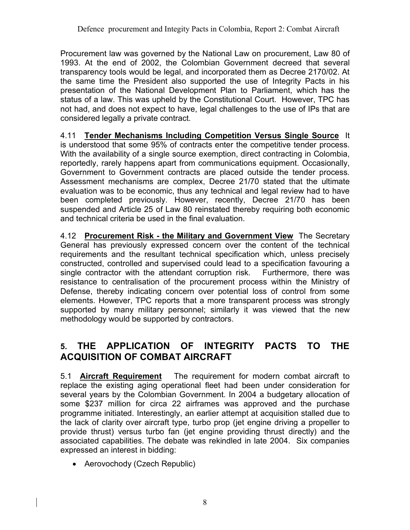Procurement law was governed by the National Law on procurement, Law 80 of 1993. At the end of 2002, the Colombian Government decreed that several transparency tools would be legal, and incorporated them as Decree 2170/02. At the same time the President also supported the use of Integrity Pacts in his presentation of the National Development Plan to Parliament, which has the status of a law. This was upheld by the Constitutional Court. However, TPC has not had, and does not expect to have, legal challenges to the use of IPs that are considered legally a private contract.

4.11 **Tender Mechanisms Including Competition Versus Single Source** It is understood that some 95% of contracts enter the competitive tender process. With the availability of a single source exemption, direct contracting in Colombia, reportedly, rarely happens apart from communications equipment. Occasionally, Government to Government contracts are placed outside the tender process. Assessment mechanisms are complex, Decree 21/70 stated that the ultimate evaluation was to be economic, thus any technical and legal review had to have been completed previously. However, recently, Decree 21/70 has been suspended and Article 25 of Law 80 reinstated thereby requiring both economic and technical criteria be used in the final evaluation.

4.12 **Procurement Risk - the Military and Government View** The Secretary General has previously expressed concern over the content of the technical requirements and the resultant technical specification which, unless precisely constructed, controlled and supervised could lead to a specification favouring a single contractor with the attendant corruption risk. Furthermore, there was resistance to centralisation of the procurement process within the Ministry of Defense, thereby indicating concern over potential loss of control from some elements. However, TPC reports that a more transparent process was strongly supported by many military personnel; similarly it was viewed that the new methodology would be supported by contractors.

## **5. THE APPLICATION OF INTEGRITY PACTS TO THE ACQUISITION OF COMBAT AIRCRAFT**

5.1 **Aircraft Requirement** The requirement for modern combat aircraft to replace the existing aging operational fleet had been under consideration for several years by the Colombian Government. In 2004 a budgetary allocation of some \$237 million for circa 22 airframes was approved and the purchase programme initiated. Interestingly, an earlier attempt at acquisition stalled due to the lack of clarity over aircraft type, turbo prop (jet engine driving a propeller to provide thrust) versus turbo fan (jet engine providing thrust directly) and the associated capabilities. The debate was rekindled in late 2004. Six companies expressed an interest in bidding:

• Aerovochody (Czech Republic)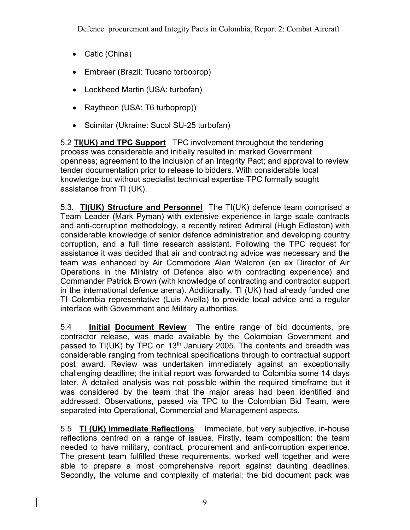- Catic (China)
- Embraer (Brazil: Tucano torboprop)
- Lockheed Martin (USA: turbofan)
- Raytheon (USA: T6 turboprop))
- Scimitar (Ukraine: Sucol SU-25 turbofan)

5.2 **TI(UK) and TPC Support** TPC involvement throughout the tendering process was considerable and initially resulted in: marked Government openness; agreement to the inclusion of an Integrity Pact; and approval to review tender documentation prior to release to bidders. With considerable local knowledge but without specialist technical expertise TPC formally sought assistance from TI (UK).

5.3**. TI(UK) Structure and Personnel** The TI(UK) defence team comprised a Team Leader (Mark Pyman) with extensive experience in large scale contracts and anti-corruption methodology, a recently retired Admiral (Hugh Edleston) with considerable knowledge of senior defence administration and developing country corruption, and a full time research assistant. Following the TPC request for assistance it was decided that air and contracting advice was necessary and the team was enhanced by Air Commodore Alan Waldron (an ex Director of Air Operations in the Ministry of Defence also with contracting experience) and Commander Patrick Brown (with knowledge of contracting and contractor support in the international defence arena). Additionally, TI (UK) had already funded one TI Colombia representative (Luis Avella) to provide local advice and a regular interface with Government and Military authorities.

5.4 **Initial Document Review** The entire range of bid documents, pre contractor release, was made available by the Colombian Government and passed to TI(UK) by TPC on 13<sup>th</sup> January 2005. The contents and breadth was considerable ranging from technical specifications through to contractual support post award. Review was undertaken immediately against an exceptionally challenging deadline; the initial report was forwarded to Colombia some 14 days later. A detailed analysis was not possible within the required timeframe but it was considered by the team that the major areas had been identified and addressed. Observations, passed via TPC to the Colombian Bid Team, were separated into Operational, Commercial and Management aspects.

5.5 **TI (UK) Immediate Reflections** Immediate, but very subjective, in-house reflections centred on a range of issues. Firstly, team composition: the team needed to have military, contract, procurement and anti-corruption experience. The present team fulfilled these requirements, worked well together and were able to prepare a most comprehensive report against daunting deadlines. Secondly, the volume and complexity of material; the bid document pack was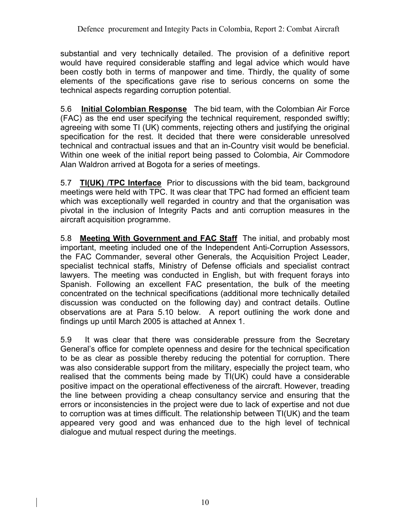substantial and very technically detailed. The provision of a definitive report would have required considerable staffing and legal advice which would have been costly both in terms of manpower and time. Thirdly, the quality of some elements of the specifications gave rise to serious concerns on some the technical aspects regarding corruption potential.

5.6 **Initial Colombian Response** The bid team, with the Colombian Air Force (FAC) as the end user specifying the technical requirement, responded swiftly; agreeing with some TI (UK) comments, rejecting others and justifying the original specification for the rest. It decided that there were considerable unresolved technical and contractual issues and that an in-Country visit would be beneficial. Within one week of the initial report being passed to Colombia, Air Commodore Alan Waldron arrived at Bogota for a series of meetings.

5.7 **TI(UK)** /**TPC Interface** Prior to discussions with the bid team, background meetings were held with TPC. It was clear that TPC had formed an efficient team which was exceptionally well regarded in country and that the organisation was pivotal in the inclusion of Integrity Pacts and anti corruption measures in the aircraft acquisition programme.

5.8 **Meeting With Government and FAC Staff** The initial, and probably most important, meeting included one of the Independent Anti-Corruption Assessors, the FAC Commander, several other Generals, the Acquisition Project Leader, specialist technical staffs, Ministry of Defense officials and specialist contract lawyers. The meeting was conducted in English, but with frequent forays into Spanish. Following an excellent FAC presentation, the bulk of the meeting concentrated on the technical specifications (additional more technically detailed discussion was conducted on the following day) and contract details. Outline observations are at Para 5.10 below. A report outlining the work done and findings up until March 2005 is attached at Annex 1.

5.9 It was clear that there was considerable pressure from the Secretary General's office for complete openness and desire for the technical specification to be as clear as possible thereby reducing the potential for corruption. There was also considerable support from the military, especially the project team, who realised that the comments being made by TI(UK) could have a considerable positive impact on the operational effectiveness of the aircraft. However, treading the line between providing a cheap consultancy service and ensuring that the errors or inconsistencies in the project were due to lack of expertise and not due to corruption was at times difficult. The relationship between TI(UK) and the team appeared very good and was enhanced due to the high level of technical dialogue and mutual respect during the meetings.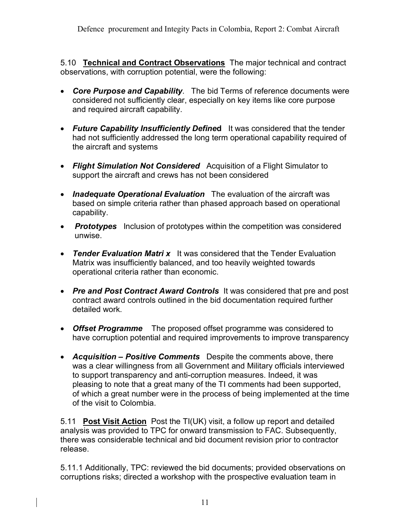5.10 **Technical and Contract Observations** The major technical and contract observations, with corruption potential, were the following:

- *Core Purpose and Capability*. The bid Terms of reference documents were considered not sufficiently clear, especially on key items like core purpose and required aircraft capability.
- *Future Capability Insufficiently Define***d** It was considered that the tender had not sufficiently addressed the long term operational capability required of the aircraft and systems
- *Flight Simulation Not Considered* Acquisition of a Flight Simulator to support the aircraft and crews has not been considered
- *Inadequate Operational Evaluation* The evaluation of the aircraft was based on simple criteria rather than phased approach based on operational capability.
- *Prototypes* Inclusion of prototypes within the competition was considered unwise.
- *Tender Evaluation Matri x* It was considered that the Tender Evaluation Matrix was insufficiently balanced, and too heavily weighted towards operational criteria rather than economic.
- *Pre and Post Contract Award Controls* It was considered that pre and post contract award controls outlined in the bid documentation required further detailed work.
- *Offset Programme*The proposed offset programme was considered to have corruption potential and required improvements to improve transparency
- *Acquisition – Positive Comments*Despite the comments above, there was a clear willingness from all Government and Military officials interviewed to support transparency and anti-corruption measures. Indeed, it was pleasing to note that a great many of the TI comments had been supported, of which a great number were in the process of being implemented at the time of the visit to Colombia.

5.11 **Post Visit Action** Post the TI(UK) visit, a follow up report and detailed analysis was provided to TPC for onward transmission to FAC. Subsequently, there was considerable technical and bid document revision prior to contractor release.

5.11.1 Additionally, TPC: reviewed the bid documents; provided observations on corruptions risks; directed a workshop with the prospective evaluation team in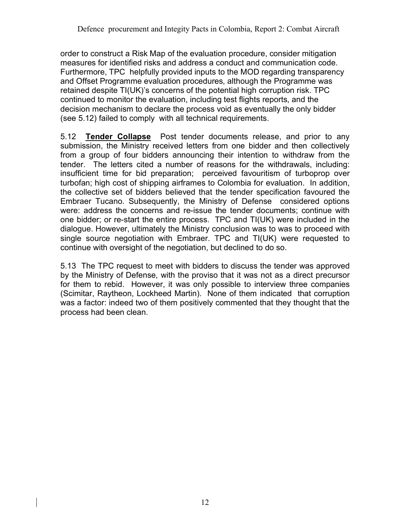order to construct a Risk Map of the evaluation procedure, consider mitigation measures for identified risks and address a conduct and communication code. Furthermore, TPC helpfully provided inputs to the MOD regarding transparency and Offset Programme evaluation procedures, although the Programme was retained despite TI(UK)'s concerns of the potential high corruption risk. TPC continued to monitor the evaluation, including test flights reports, and the decision mechanism to declare the process void as eventually the only bidder (see 5.12) failed to comply with all technical requirements.

5.12 **Tender Collapse** Post tender documents release, and prior to any submission, the Ministry received letters from one bidder and then collectively from a group of four bidders announcing their intention to withdraw from the tender. The letters cited a number of reasons for the withdrawals, including: insufficient time for bid preparation; perceived favouritism of turboprop over turbofan; high cost of shipping airframes to Colombia for evaluation. In addition, the collective set of bidders believed that the tender specification favoured the Embraer Tucano. Subsequently, the Ministry of Defense considered options were: address the concerns and re-issue the tender documents; continue with one bidder; or re-start the entire process. TPC and TI(UK) were included in the dialogue. However, ultimately the Ministry conclusion was to was to proceed with single source negotiation with Embraer. TPC and TI(UK) were requested to continue with oversight of the negotiation, but declined to do so.

5.13 The TPC request to meet with bidders to discuss the tender was approved by the Ministry of Defense, with the proviso that it was not as a direct precursor for them to rebid. However, it was only possible to interview three companies (Scimitar, Raytheon, Lockheed Martin). None of them indicated that corruption was a factor: indeed two of them positively commented that they thought that the process had been clean.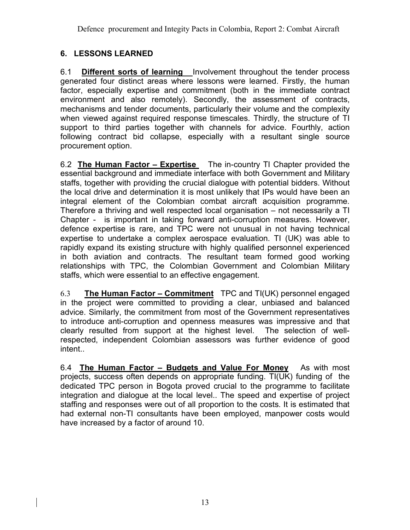## **6. LESSONS LEARNED**

6.1 **Different sorts of learning** Involvement throughout the tender process generated four distinct areas where lessons were learned. Firstly, the human factor, especially expertise and commitment (both in the immediate contract environment and also remotely). Secondly, the assessment of contracts, mechanisms and tender documents, particularly their volume and the complexity when viewed against required response timescales. Thirdly, the structure of TI support to third parties together with channels for advice. Fourthly, action following contract bid collapse, especially with a resultant single source procurement option.

6.2 **The Human Factor – Expertise** The in-country TI Chapter provided the essential background and immediate interface with both Government and Military staffs, together with providing the crucial dialogue with potential bidders. Without the local drive and determination it is most unlikely that IPs would have been an integral element of the Colombian combat aircraft acquisition programme. Therefore a thriving and well respected local organisation – not necessarily a TI Chapter - is important in taking forward anti-corruption measures. However, defence expertise is rare, and TPC were not unusual in not having technical expertise to undertake a complex aerospace evaluation. TI (UK) was able to rapidly expand its existing structure with highly qualified personnel experienced in both aviation and contracts. The resultant team formed good working relationships with TPC, the Colombian Government and Colombian Military staffs, which were essential to an effective engagement.

6.3 **The Human Factor – Commitment** TPC and TI(UK) personnel engaged in the project were committed to providing a clear, unbiased and balanced advice. Similarly, the commitment from most of the Government representatives to introduce anti-corruption and openness measures was impressive and that clearly resulted from support at the highest level. The selection of wellrespected, independent Colombian assessors was further evidence of good intent..

6.4 **The Human Factor – Budgets and Value For Money** As with most projects, success often depends on appropriate funding. TI(UK) funding of the dedicated TPC person in Bogota proved crucial to the programme to facilitate integration and dialogue at the local level.. The speed and expertise of project staffing and responses were out of all proportion to the costs. It is estimated that had external non-TI consultants have been employed, manpower costs would have increased by a factor of around 10.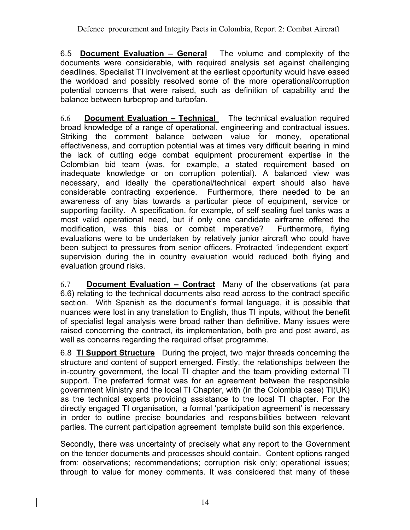6.5 **Document Evaluation – General** The volume and complexity of the documents were considerable, with required analysis set against challenging deadlines. Specialist TI involvement at the earliest opportunity would have eased the workload and possibly resolved some of the more operational/corruption potential concerns that were raised, such as definition of capability and the balance between turboprop and turbofan.

6.6 **Document Evaluation – Technical** The technical evaluation required broad knowledge of a range of operational, engineering and contractual issues. Striking the comment balance between value for money, operational effectiveness, and corruption potential was at times very difficult bearing in mind the lack of cutting edge combat equipment procurement expertise in the Colombian bid team (was, for example, a stated requirement based on inadequate knowledge or on corruption potential). A balanced view was necessary, and ideally the operational/technical expert should also have considerable contracting experience. Furthermore, there needed to be an awareness of any bias towards a particular piece of equipment, service or supporting facility. A specification, for example, of self sealing fuel tanks was a most valid operational need, but if only one candidate airframe offered the modification, was this bias or combat imperative? Furthermore, flying evaluations were to be undertaken by relatively junior aircraft who could have been subject to pressures from senior officers. Protracted 'independent expert' supervision during the in country evaluation would reduced both flying and evaluation ground risks.

6.7 **Document Evaluation – Contract** Many of the observations (at para 6.6) relating to the technical documents also read across to the contract specific section. With Spanish as the document's formal language, it is possible that nuances were lost in any translation to English, thus TI inputs, without the benefit of specialist legal analysis were broad rather than definitive. Many issues were raised concerning the contract, its implementation, both pre and post award, as well as concerns regarding the required offset programme.

6.8 **TI Support Structure** During the project, two major threads concerning the structure and content of support emerged. Firstly, the relationships between the in-country government, the local TI chapter and the team providing external TI support. The preferred format was for an agreement between the responsible government Ministry and the local TI Chapter, with (in the Colombia case) TI(UK) as the technical experts providing assistance to the local TI chapter. For the directly engaged TI organisation, a formal 'participation agreement' is necessary in order to outline precise boundaries and responsibilities between relevant parties. The current participation agreement template build son this experience.

Secondly, there was uncertainty of precisely what any report to the Government on the tender documents and processes should contain. Content options ranged from: observations; recommendations; corruption risk only; operational issues; through to value for money comments. It was considered that many of these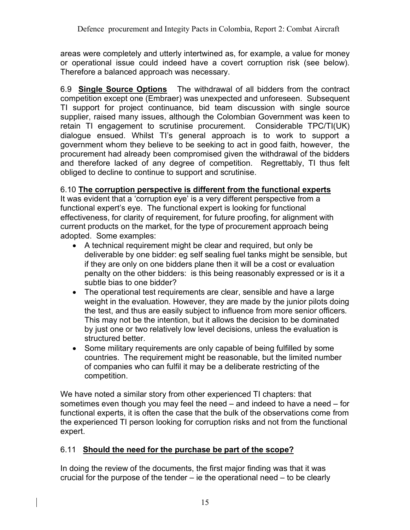areas were completely and utterly intertwined as, for example, a value for money or operational issue could indeed have a covert corruption risk (see below). Therefore a balanced approach was necessary.

6.9 **Single Source Options** The withdrawal of all bidders from the contract competition except one (Embraer) was unexpected and unforeseen. Subsequent TI support for project continuance, bid team discussion with single source supplier, raised many issues, although the Colombian Government was keen to retain TI engagement to scrutinise procurement. Considerable TPC/TI(UK) dialogue ensued. Whilst TI's general approach is to work to support a government whom they believe to be seeking to act in good faith, however, the procurement had already been compromised given the withdrawal of the bidders and therefore lacked of any degree of competition. Regrettably, TI thus felt obliged to decline to continue to support and scrutinise.

## 6.10 **The corruption perspective is different from the functional experts**

It was evident that a 'corruption eye' is a very different perspective from a functional expert's eye. The functional expert is looking for functional effectiveness, for clarity of requirement, for future proofing, for alignment with current products on the market, for the type of procurement approach being adopted. Some examples:

- A technical requirement might be clear and required, but only be deliverable by one bidder: eg self sealing fuel tanks might be sensible, but if they are only on one bidders plane then it will be a cost or evaluation penalty on the other bidders: is this being reasonably expressed or is it a subtle bias to one bidder?
- The operational test requirements are clear, sensible and have a large weight in the evaluation. However, they are made by the junior pilots doing the test, and thus are easily subject to influence from more senior officers. This may not be the intention, but it allows the decision to be dominated by just one or two relatively low level decisions, unless the evaluation is structured better.
- Some military requirements are only capable of being fulfilled by some countries. The requirement might be reasonable, but the limited number of companies who can fulfil it may be a deliberate restricting of the competition.

We have noted a similar story from other experienced TI chapters: that sometimes even though you may feel the need – and indeed to have a need – for functional experts, it is often the case that the bulk of the observations come from the experienced TI person looking for corruption risks and not from the functional expert.

## 6.11 **Should the need for the purchase be part of the scope?**

In doing the review of the documents, the first major finding was that it was crucial for the purpose of the tender  $-$  ie the operational need  $-$  to be clearly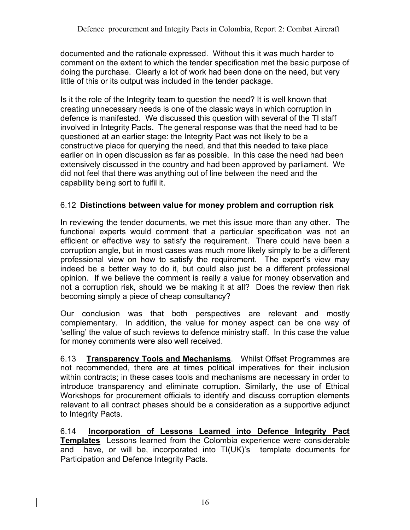documented and the rationale expressed. Without this it was much harder to comment on the extent to which the tender specification met the basic purpose of doing the purchase. Clearly a lot of work had been done on the need, but very little of this or its output was included in the tender package.

Is it the role of the Integrity team to question the need? It is well known that creating unnecessary needs is one of the classic ways in which corruption in defence is manifested. We discussed this question with several of the TI staff involved in Integrity Pacts. The general response was that the need had to be questioned at an earlier stage: the Integrity Pact was not likely to be a constructive place for querying the need, and that this needed to take place earlier on in open discussion as far as possible. In this case the need had been extensively discussed in the country and had been approved by parliament. We did not feel that there was anything out of line between the need and the capability being sort to fulfil it.

## 6.12 **Distinctions between value for money problem and corruption risk**

In reviewing the tender documents, we met this issue more than any other. The functional experts would comment that a particular specification was not an efficient or effective way to satisfy the requirement. There could have been a corruption angle, but in most cases was much more likely simply to be a different professional view on how to satisfy the requirement. The expert's view may indeed be a better way to do it, but could also just be a different professional opinion. If we believe the comment is really a value for money observation and not a corruption risk, should we be making it at all? Does the review then risk becoming simply a piece of cheap consultancy?

Our conclusion was that both perspectives are relevant and mostly complementary. In addition, the value for money aspect can be one way of 'selling' the value of such reviews to defence ministry staff. In this case the value for money comments were also well received.

6.13 **Transparency Tools and Mechanisms**. Whilst Offset Programmes are not recommended, there are at times political imperatives for their inclusion within contracts; in these cases tools and mechanisms are necessary in order to introduce transparency and eliminate corruption. Similarly, the use of Ethical Workshops for procurement officials to identify and discuss corruption elements relevant to all contract phases should be a consideration as a supportive adjunct to Integrity Pacts.

6.14 **Incorporation of Lessons Learned into Defence Integrity Pact Templates** Lessons learned from the Colombia experience were considerable and have, or will be, incorporated into TI(UK)'s template documents for Participation and Defence Integrity Pacts.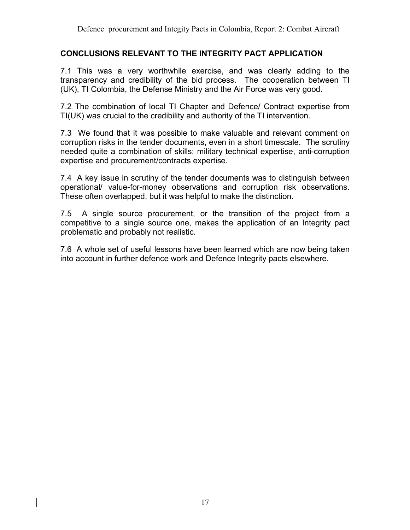#### **CONCLUSIONS RELEVANT TO THE INTEGRITY PACT APPLICATION**

7.1 This was a very worthwhile exercise, and was clearly adding to the transparency and credibility of the bid process. The cooperation between TI (UK), TI Colombia, the Defense Ministry and the Air Force was very good.

7.2 The combination of local TI Chapter and Defence/ Contract expertise from TI(UK) was crucial to the credibility and authority of the TI intervention.

7.3 We found that it was possible to make valuable and relevant comment on corruption risks in the tender documents, even in a short timescale. The scrutiny needed quite a combination of skills: military technical expertise, anti-corruption expertise and procurement/contracts expertise.

7.4 A key issue in scrutiny of the tender documents was to distinguish between operational/ value-for-money observations and corruption risk observations. These often overlapped, but it was helpful to make the distinction.

7.5 A single source procurement, or the transition of the project from a competitive to a single source one, makes the application of an Integrity pact problematic and probably not realistic.

7.6 A whole set of useful lessons have been learned which are now being taken into account in further defence work and Defence Integrity pacts elsewhere.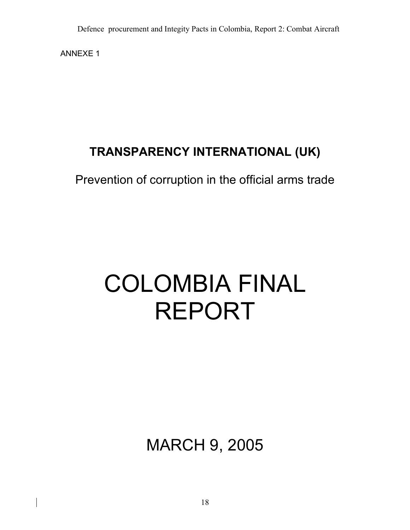ANNEXE 1

## **TRANSPARENCY INTERNATIONAL (UK)**

Prevention of corruption in the official arms trade

# COLOMBIA FINAL REPORT

MARCH 9, 2005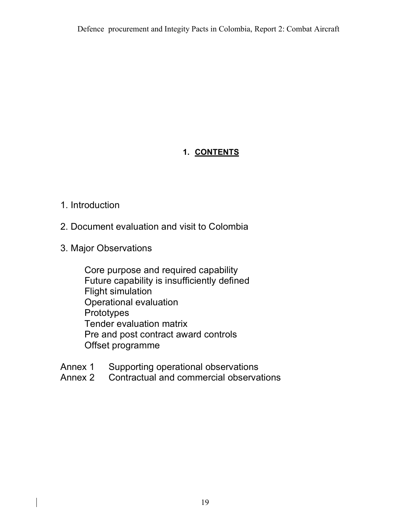## **1. CONTENTS**

## 1. Introduction

- 2. Document evaluation and visit to Colombia
- 3. Major Observations

Core purpose and required capability Future capability is insufficiently defined Flight simulation Operational evaluation **Prototypes** Tender evaluation matrix Pre and post contract award controls Offset programme

- Annex 1 Supporting operational observations
- Annex 2 Contractual and commercial observations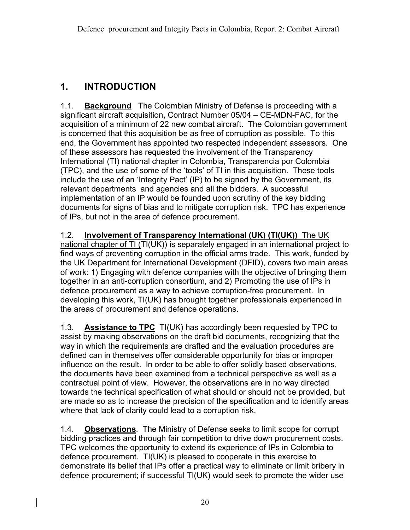## **1. INTRODUCTION**

1.1. **Background** The Colombian Ministry of Defense is proceeding with a significant aircraft acquisition**,** Contract Number 05/04 – CE-MDN-FAC, for the acquisition of a minimum of 22 new combat aircraft. The Colombian government is concerned that this acquisition be as free of corruption as possible. To this end, the Government has appointed two respected independent assessors. One of these assessors has requested the involvement of the Transparency International (TI) national chapter in Colombia, Transparencia por Colombia (TPC), and the use of some of the 'tools' of TI in this acquisition. These tools include the use of an 'Integrity Pact' (IP) to be signed by the Government, its relevant departments and agencies and all the bidders. A successful implementation of an IP would be founded upon scrutiny of the key bidding documents for signs of bias and to mitigate corruption risk. TPC has experience of IPs, but not in the area of defence procurement.

1.2. **Involvement of Transparency International (UK) (TI(UK))** The UK national chapter of TI (TI(UK)) is separately engaged in an international project to find ways of preventing corruption in the official arms trade. This work, funded by the UK Department for International Development (DFID), covers two main areas of work: 1) Engaging with defence companies with the objective of bringing them together in an anti-corruption consortium, and 2) Promoting the use of IPs in defence procurement as a way to achieve corruption-free procurement. In developing this work, TI(UK) has brought together professionals experienced in the areas of procurement and defence operations.

1.3. **Assistance to TPC** TI(UK) has accordingly been requested by TPC to assist by making observations on the draft bid documents, recognizing that the way in which the requirements are drafted and the evaluation procedures are defined can in themselves offer considerable opportunity for bias or improper influence on the result. In order to be able to offer solidly based observations, the documents have been examined from a technical perspective as well as a contractual point of view. However, the observations are in no way directed towards the technical specification of what should or should not be provided, but are made so as to increase the precision of the specification and to identify areas where that lack of clarity could lead to a corruption risk.

1.4. **Observations**. The Ministry of Defense seeks to limit scope for corrupt bidding practices and through fair competition to drive down procurement costs. TPC welcomes the opportunity to extend its experience of IPs in Colombia to defence procurement. TI(UK) is pleased to cooperate in this exercise to demonstrate its belief that IPs offer a practical way to eliminate or limit bribery in defence procurement; if successful TI(UK) would seek to promote the wider use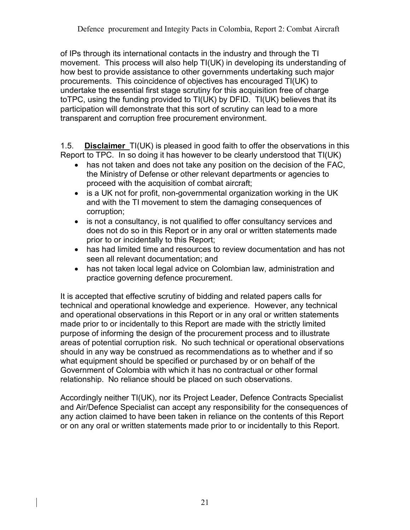of IPs through its international contacts in the industry and through the TI movement. This process will also help TI(UK) in developing its understanding of how best to provide assistance to other governments undertaking such major procurements. This coincidence of objectives has encouraged TI(UK) to undertake the essential first stage scrutiny for this acquisition free of charge toTPC, using the funding provided to TI(UK) by DFID. TI(UK) believes that its participation will demonstrate that this sort of scrutiny can lead to a more transparent and corruption free procurement environment.

1.5. **Disclaimer** TI(UK) is pleased in good faith to offer the observations in this Report to TPC. In so doing it has however to be clearly understood that TI(UK)

- has not taken and does not take any position on the decision of the FAC, the Ministry of Defense or other relevant departments or agencies to proceed with the acquisition of combat aircraft;
- is a UK not for profit, non-governmental organization working in the UK and with the TI movement to stem the damaging consequences of corruption;
- is not a consultancy, is not qualified to offer consultancy services and does not do so in this Report or in any oral or written statements made prior to or incidentally to this Report;
- has had limited time and resources to review documentation and has not seen all relevant documentation; and
- has not taken local legal advice on Colombian law, administration and practice governing defence procurement.

It is accepted that effective scrutiny of bidding and related papers calls for technical and operational knowledge and experience. However, any technical and operational observations in this Report or in any oral or written statements made prior to or incidentally to this Report are made with the strictly limited purpose of informing the design of the procurement process and to illustrate areas of potential corruption risk. No such technical or operational observations should in any way be construed as recommendations as to whether and if so what equipment should be specified or purchased by or on behalf of the Government of Colombia with which it has no contractual or other formal relationship. No reliance should be placed on such observations.

Accordingly neither TI(UK), nor its Project Leader, Defence Contracts Specialist and Air/Defence Specialist can accept any responsibility for the consequences of any action claimed to have been taken in reliance on the contents of this Report or on any oral or written statements made prior to or incidentally to this Report.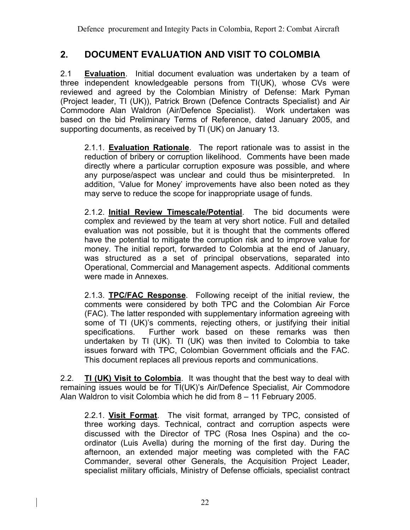## **2. DOCUMENT EVALUATION AND VISIT TO COLOMBIA**

2.1 **Evaluation**. Initial document evaluation was undertaken by a team of three independent knowledgeable persons from TI(UK), whose CVs were reviewed and agreed by the Colombian Ministry of Defense: Mark Pyman (Project leader, TI (UK)), Patrick Brown (Defence Contracts Specialist) and Air Commodore Alan Waldron (Air/Defence Specialist). Work undertaken was based on the bid Preliminary Terms of Reference, dated January 2005, and supporting documents, as received by TI (UK) on January 13.

2.1.1. **Evaluation Rationale**. The report rationale was to assist in the reduction of bribery or corruption likelihood. Comments have been made directly where a particular corruption exposure was possible, and where any purpose/aspect was unclear and could thus be misinterpreted. In addition, 'Value for Money' improvements have also been noted as they may serve to reduce the scope for inappropriate usage of funds.

2.1.2. **Initial Review Timescale/Potential**. The bid documents were complex and reviewed by the team at very short notice. Full and detailed evaluation was not possible, but it is thought that the comments offered have the potential to mitigate the corruption risk and to improve value for money. The initial report, forwarded to Colombia at the end of January, was structured as a set of principal observations, separated into Operational, Commercial and Management aspects. Additional comments were made in Annexes.

2.1.3. **TPC/FAC Response**. Following receipt of the initial review, the comments were considered by both TPC and the Colombian Air Force (FAC). The latter responded with supplementary information agreeing with some of TI (UK)'s comments, rejecting others, or justifying their initial specifications. Further work based on these remarks was then undertaken by TI (UK). TI (UK) was then invited to Colombia to take issues forward with TPC, Colombian Government officials and the FAC. This document replaces all previous reports and communications.

2.2. **TI (UK) Visit to Colombia**. It was thought that the best way to deal with remaining issues would be for TI(UK)'s Air/Defence Specialist, Air Commodore Alan Waldron to visit Colombia which he did from 8 – 11 February 2005.

2.2.1. **Visit Format**. The visit format, arranged by TPC, consisted of three working days. Technical, contract and corruption aspects were discussed with the Director of TPC (Rosa Ines Ospina) and the coordinator (Luis Avella) during the morning of the first day. During the afternoon, an extended major meeting was completed with the FAC Commander, several other Generals, the Acquisition Project Leader, specialist military officials, Ministry of Defense officials, specialist contract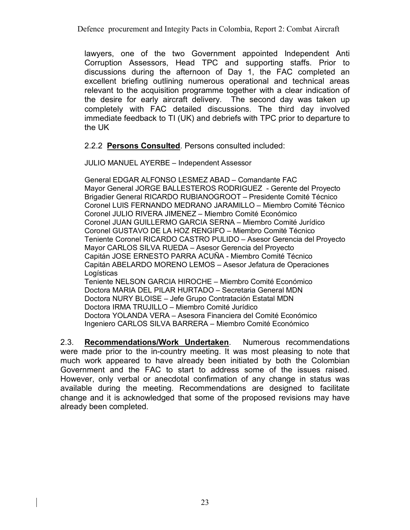Defence procurement and Integity Pacts in Colombia, Report 2: Combat Aircraft

lawyers, one of the two Government appointed Independent Anti Corruption Assessors, Head TPC and supporting staffs. Prior to discussions during the afternoon of Day 1, the FAC completed an excellent briefing outlining numerous operational and technical areas relevant to the acquisition programme together with a clear indication of the desire for early aircraft delivery. The second day was taken up completely with FAC detailed discussions. The third day involved immediate feedback to TI (UK) and debriefs with TPC prior to departure to the UK

2.2.2 **Persons Consulted**. Persons consulted included:

JULIO MANUEL AYERBE – Independent Assessor

General EDGAR ALFONSO LESMEZ ABAD – Comandante FAC Mayor General JORGE BALLESTEROS RODRIGUEZ - Gerente del Proyecto Brigadier General RICARDO RUBIANOGROOT – Presidente Comité Técnico Coronel LUIS FERNANDO MEDRANO JARAMILLO – Miembro Comité Técnico Coronel JULIO RIVERA JIMENEZ – Miembro Comité Económico Coronel JUAN GUILLERMO GARCIA SERNA – Miembro Comité Jurídico Coronel GUSTAVO DE LA HOZ RENGIFO – Miembro Comité Técnico Teniente Coronel RICARDO CASTRO PULIDO – Asesor Gerencia del Proyecto Mayor CARLOS SILVA RUEDA – Asesor Gerencia del Proyecto Capitán JOSE ERNESTO PARRA ACUÑA - Miembro Comité Técnico Capitán ABELARDO MORENO LEMOS – Asesor Jefatura de Operaciones Logísticas Teniente NELSON GARCIA HIROCHE – Miembro Comité Económico Doctora MARIA DEL PILAR HURTADO – Secretaria General MDN Doctora NURY BLOISE – Jefe Grupo Contratación Estatal MDN Doctora IRMA TRUJILLO – Miembro Comité Jurídico Doctora YOLANDA VERA – Asesora Financiera del Comité Económico Ingeniero CARLOS SILVA BARRERA – Miembro Comité Económico

2.3. **Recommendations/Work Undertaken**. Numerous recommendations were made prior to the in-country meeting. It was most pleasing to note that much work appeared to have already been initiated by both the Colombian Government and the FAC to start to address some of the issues raised. However, only verbal or anecdotal confirmation of any change in status was available during the meeting. Recommendations are designed to facilitate change and it is acknowledged that some of the proposed revisions may have already been completed.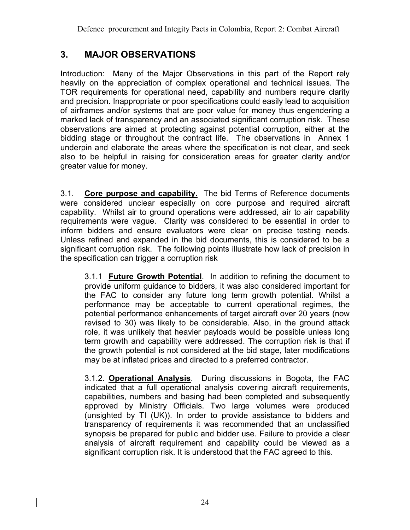## **3. MAJOR OBSERVATIONS**

Introduction: Many of the Major Observations in this part of the Report rely heavily on the appreciation of complex operational and technical issues. The TOR requirements for operational need, capability and numbers require clarity and precision. Inappropriate or poor specifications could easily lead to acquisition of airframes and/or systems that are poor value for money thus engendering a marked lack of transparency and an associated significant corruption risk. These observations are aimed at protecting against potential corruption, either at the bidding stage or throughout the contract life. The observations in Annex 1 underpin and elaborate the areas where the specification is not clear, and seek also to be helpful in raising for consideration areas for greater clarity and/or greater value for money.

3.1. **Core purpose and capability.** The bid Terms of Reference documents were considered unclear especially on core purpose and required aircraft capability. Whilst air to ground operations were addressed, air to air capability requirements were vague. Clarity was considered to be essential in order to inform bidders and ensure evaluators were clear on precise testing needs. Unless refined and expanded in the bid documents, this is considered to be a significant corruption risk. The following points illustrate how lack of precision in the specification can trigger a corruption risk

3.1.1 **Future Growth Potential**. In addition to refining the document to provide uniform guidance to bidders, it was also considered important for the FAC to consider any future long term growth potential. Whilst a performance may be acceptable to current operational regimes, the potential performance enhancements of target aircraft over 20 years (now revised to 30) was likely to be considerable. Also, in the ground attack role, it was unlikely that heavier payloads would be possible unless long term growth and capability were addressed. The corruption risk is that if the growth potential is not considered at the bid stage, later modifications may be at inflated prices and directed to a preferred contractor.

3.1.2. **Operational Analysis**. During discussions in Bogota, the FAC indicated that a full operational analysis covering aircraft requirements, capabilities, numbers and basing had been completed and subsequently approved by Ministry Officials. Two large volumes were produced (unsighted by TI (UK)). In order to provide assistance to bidders and transparency of requirements it was recommended that an unclassified synopsis be prepared for public and bidder use. Failure to provide a clear analysis of aircraft requirement and capability could be viewed as a significant corruption risk. It is understood that the FAC agreed to this.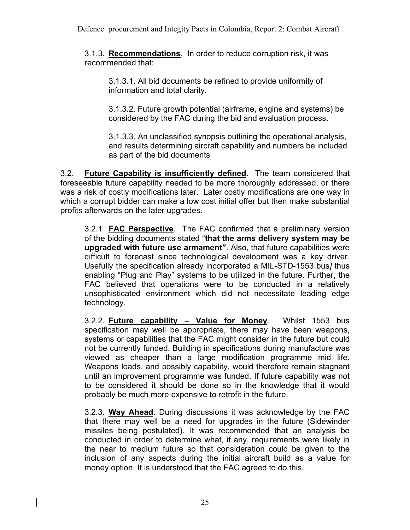3.1.3. **Recommendations**. In order to reduce corruption risk, it was recommended that:

3.1.3.1. All bid documents be refined to provide uniformity of information and total clarity.

3.1.3.2. Future growth potential (airframe, engine and systems) be considered by the FAC during the bid and evaluation process.

3.1.3.3. An unclassified synopsis outlining the operational analysis, and results determining aircraft capability and numbers be included as part of the bid documents

3.2. **Future Capability is insufficiently defined**. The team considered that foreseeable future capability needed to be more thoroughly addressed, or there was a risk of costly modifications later. Later costly modifications are one way in which a corrupt bidder can make a low cost initial offer but then make substantial profits afterwards on the later upgrades.

3.2.1 **FAC Perspective**. The FAC confirmed that a preliminary version of the bidding documents stated "**that the arms delivery system may be upgraded with future use armament"**. Also, that future capabilities were difficult to forecast since technological development was a key driver. Usefully the specification already incorporated a MIL-STD-1553 bus*]* thus enabling "Plug and Play" systems to be utilized in the future. Further, the FAC believed that operations were to be conducted in a relatively unsophisticated environment which did not necessitate leading edge technology.

3.2.2. **Future capability – Value for Money**. Whilst 1553 bus specification may well be appropriate, there may have been weapons, systems or capabilities that the FAC might consider in the future but could not be currently funded. Building in specifications during manufacture was viewed as cheaper than a large modification programme mid life. Weapons loads, and possibly capability, would therefore remain stagnant until an improvement programme was funded. If future capability was not to be considered it should be done so in the knowledge that it would probably be much more expensive to retrofit in the future.

3.2.3**. Way Ahead**. During discussions it was acknowledge by the FAC that there may well be a need for upgrades in the future (Sidewinder missiles being postulated). It was recommended that an analysis be conducted in order to determine what, if any, requirements were likely in the near to medium future so that consideration could be given to the inclusion of any aspects during the initial aircraft build as a value for money option. It is understood that the FAC agreed to do this.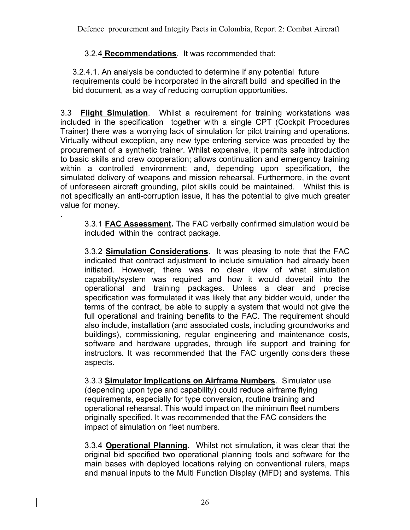Defence procurement and Integity Pacts in Colombia, Report 2: Combat Aircraft

### 3.2.4 **Recommendations**. It was recommended that:

.

3.2.4.1. An analysis be conducted to determine if any potential future requirements could be incorporated in the aircraft build and specified in the bid document, as a way of reducing corruption opportunities.

3.3 **Flight Simulation**. Whilst a requirement for training workstations was included in the specification together with a single CPT (Cockpit Procedures Trainer) there was a worrying lack of simulation for pilot training and operations. Virtually without exception, any new type entering service was preceded by the procurement of a synthetic trainer. Whilst expensive, it permits safe introduction to basic skills and crew cooperation; allows continuation and emergency training within a controlled environment; and, depending upon specification, the simulated delivery of weapons and mission rehearsal. Furthermore, in the event of unforeseen aircraft grounding, pilot skills could be maintained. Whilst this is not specifically an anti-corruption issue, it has the potential to give much greater value for money.

3.3.1 **FAC Assessment.** The FAC verbally confirmed simulation would be included within the contract package.

3.3.2 **Simulation Considerations**. It was pleasing to note that the FAC indicated that contract adjustment to include simulation had already been initiated. However, there was no clear view of what simulation capability/system was required and how it would dovetail into the operational and training packages. Unless a clear and precise specification was formulated it was likely that any bidder would, under the terms of the contract, be able to supply a system that would not give the full operational and training benefits to the FAC. The requirement should also include, installation (and associated costs, including groundworks and buildings), commissioning, regular engineering and maintenance costs, software and hardware upgrades, through life support and training for instructors. It was recommended that the FAC urgently considers these aspects.

3.3.3 **Simulator Implications on Airframe Numbers**. Simulator use (depending upon type and capability) could reduce airframe flying requirements, especially for type conversion, routine training and operational rehearsal. This would impact on the minimum fleet numbers originally specified. It was recommended that the FAC considers the impact of simulation on fleet numbers.

3.3.4 **Operational Planning**. Whilst not simulation, it was clear that the original bid specified two operational planning tools and software for the main bases with deployed locations relying on conventional rulers, maps and manual inputs to the Multi Function Display (MFD) and systems. This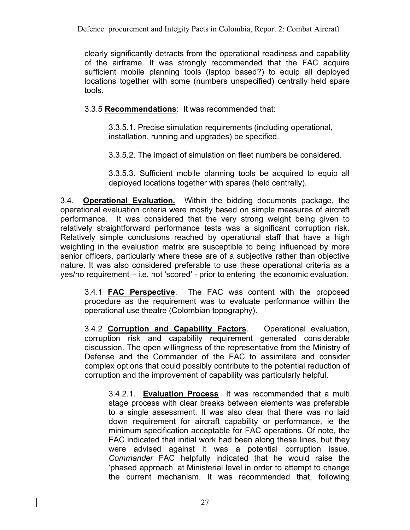Defence procurement and Integity Pacts in Colombia, Report 2: Combat Aircraft

clearly significantly detracts from the operational readiness and capability of the airframe. It was strongly recommended that the FAC acquire sufficient mobile planning tools (laptop based?) to equip all deployed locations together with some (numbers unspecified) centrally held spare tools.

3.3.5 **Recommendations**: It was recommended that:

3.3.5.1. Precise simulation requirements (including operational, installation, running and upgrades) be specified.

3.3.5.2. The impact of simulation on fleet numbers be considered.

3.3.5.3. Sufficient mobile planning tools be acquired to equip all deployed locations together with spares (held centrally).

3.4. **Operational Evaluation.** Within the bidding documents package, the operational evaluation criteria were mostly based on simple measures of aircraft performance. It was considered that the very strong weight being given to relatively straightforward performance tests was a significant corruption risk. Relatively simple conclusions reached by operational staff that have a high weighting in the evaluation matrix are susceptible to being influenced by more senior officers, particularly where these are of a subjective rather than objective nature. It was also considered preferable to use these operational criteria as a yes/no requirement – i.e. not 'scored' - prior to entering the economic evaluation.

3.4.1 **FAC Perspective**. The FAC was content with the proposed procedure as the requirement was to evaluate performance within the operational use theatre (Colombian topography).

3.4.2 **Corruption and Capability Factors**. Operational evaluation, corruption risk and capability requirement generated considerable discussion. The open willingness of the representative from the Ministry of Defense and the Commander of the FAC to assimilate and consider complex options that could possibly contribute to the potential reduction of corruption and the improvement of capability was particularly helpful.

3.4.2.1. **Evaluation Process** It was recommended that a multi stage process with clear breaks between elements was preferable to a single assessment. It was also clear that there was no laid down requirement for aircraft capability or performance, ie the minimum specification acceptable for FAC operations. Of note, the FAC indicated that initial work had been along these lines, but they were advised against it was a potential corruption issue. *Commander* FAC helpfully indicated that he would raise the 'phased approach' at Ministerial level in order to attempt to change the current mechanism. It was recommended that, following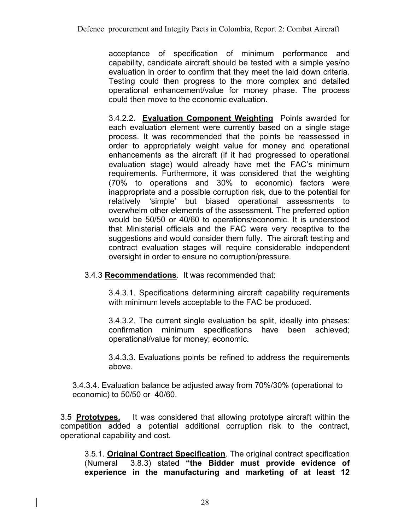acceptance of specification of minimum performance and capability, candidate aircraft should be tested with a simple yes/no evaluation in order to confirm that they meet the laid down criteria. Testing could then progress to the more complex and detailed operational enhancement/value for money phase. The process could then move to the economic evaluation.

3.4.2.2. **Evaluation Component Weighting** Points awarded for each evaluation element were currently based on a single stage process. It was recommended that the points be reassessed in order to appropriately weight value for money and operational enhancements as the aircraft (if it had progressed to operational evaluation stage) would already have met the FAC's minimum requirements. Furthermore, it was considered that the weighting (70% to operations and 30% to economic) factors were inappropriate and a possible corruption risk, due to the potential for relatively 'simple' but biased operational assessments to overwhelm other elements of the assessment. The preferred option would be 50/50 or 40/60 to operations/economic. It is understood that Ministerial officials and the FAC were very receptive to the suggestions and would consider them fully. The aircraft testing and contract evaluation stages will require considerable independent oversight in order to ensure no corruption/pressure.

3.4.3 **Recommendations**. It was recommended that:

3.4.3.1. Specifications determining aircraft capability requirements with minimum levels acceptable to the FAC be produced.

3.4.3.2. The current single evaluation be split, ideally into phases: confirmation minimum specifications have been achieved; operational/value for money; economic.

3.4.3.3. Evaluations points be refined to address the requirements above.

3.4.3.4. Evaluation balance be adjusted away from 70%/30% (operational to economic) to 50/50 or 40/60.

3.5 **Prototypes.** It was considered that allowing prototype aircraft within the competition added a potential additional corruption risk to the contract, operational capability and cost.

3.5.1. **Original Contract Specification**. The original contract specification (Numeral 3.8.3) stated **"the Bidder must provide evidence of experience in the manufacturing and marketing of at least 12**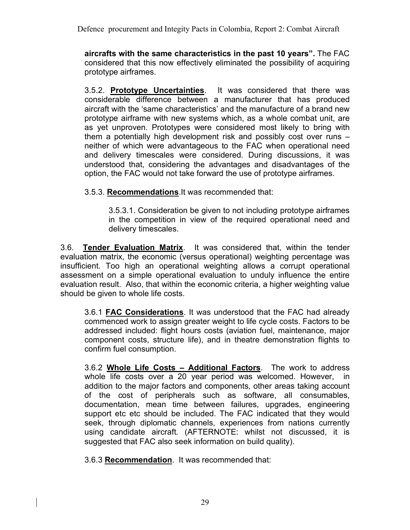Defence procurement and Integity Pacts in Colombia, Report 2: Combat Aircraft

**aircrafts with the same characteristics in the past 10 years".** The FAC considered that this now effectively eliminated the possibility of acquiring prototype airframes.

3.5.2. **Prototype Uncertainties**. It was considered that there was considerable difference between a manufacturer that has produced aircraft with the 'same characteristics' and the manufacture of a brand new prototype airframe with new systems which, as a whole combat unit, are as yet unproven. Prototypes were considered most likely to bring with them a potentially high development risk and possibly cost over runs – neither of which were advantageous to the FAC when operational need and delivery timescales were considered. During discussions, it was understood that, considering the advantages and disadvantages of the option, the FAC would not take forward the use of prototype airframes.

3.5.3. **Recommendations**.It was recommended that:

3.5.3.1. Consideration be given to not including prototype airframes in the competition in view of the required operational need and delivery timescales.

3.6. **Tender Evaluation Matrix**. It was considered that, within the tender evaluation matrix, the economic (versus operational) weighting percentage was insufficient. Too high an operational weighting allows a corrupt operational assessment on a simple operational evaluation to unduly influence the entire evaluation result. Also, that within the economic criteria, a higher weighting value should be given to whole life costs.

3.6.1 **FAC Considerations**. It was understood that the FAC had already commenced work to assign greater weight to life cycle costs. Factors to be addressed included: flight hours costs (aviation fuel, maintenance, major component costs, structure life), and in theatre demonstration flights to confirm fuel consumption.

3.6.2 **Whole Life Costs – Additional Factors**. The work to address whole life costs over a 20 year period was welcomed. However, in addition to the major factors and components, other areas taking account of the cost of peripherals such as software, all consumables, documentation, mean time between failures, upgrades, engineering support etc etc should be included. The FAC indicated that they would seek, through diplomatic channels, experiences from nations currently using candidate aircraft. (AFTERNOTE: whilst not discussed, it is suggested that FAC also seek information on build quality).

3.6.3 **Recommendation**. It was recommended that: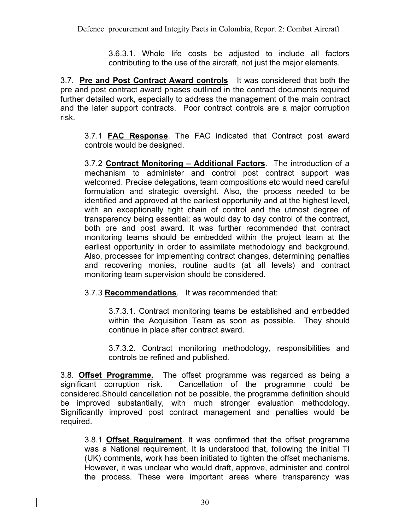3.6.3.1. Whole life costs be adjusted to include all factors contributing to the use of the aircraft, not just the major elements.

3.7. **Pre and Post Contract Award controls** It was considered that both the pre and post contract award phases outlined in the contract documents required further detailed work, especially to address the management of the main contract and the later support contracts. Poor contract controls are a major corruption risk.

3.7.1 **FAC Response**. The FAC indicated that Contract post award controls would be designed.

3.7.2 **Contract Monitoring – Additional Factors**. The introduction of a mechanism to administer and control post contract support was welcomed. Precise delegations, team compositions etc would need careful formulation and strategic oversight. Also, the process needed to be identified and approved at the earliest opportunity and at the highest level, with an exceptionally tight chain of control and the utmost degree of transparency being essential; as would day to day control of the contract, both pre and post award. It was further recommended that contract monitoring teams should be embedded within the project team at the earliest opportunity in order to assimilate methodology and background. Also, processes for implementing contract changes, determining penalties and recovering monies, routine audits (at all levels) and contract monitoring team supervision should be considered.

#### 3.7.3 **Recommendations**. It was recommended that:

3.7.3.1. Contract monitoring teams be established and embedded within the Acquisition Team as soon as possible. They should continue in place after contract award.

3.7.3.2. Contract monitoring methodology, responsibilities and controls be refined and published.

3.8. **Offset Programme.** The offset programme was regarded as being a significant corruption risk. Cancellation of the programme could be considered.Should cancellation not be possible, the programme definition should be improved substantially, with much stronger evaluation methodology. Significantly improved post contract management and penalties would be required.

3.8.1 **Offset Requirement**. It was confirmed that the offset programme was a National requirement. It is understood that, following the initial TI (UK) comments, work has been initiated to tighten the offset mechanisms. However, it was unclear who would draft, approve, administer and control the process. These were important areas where transparency was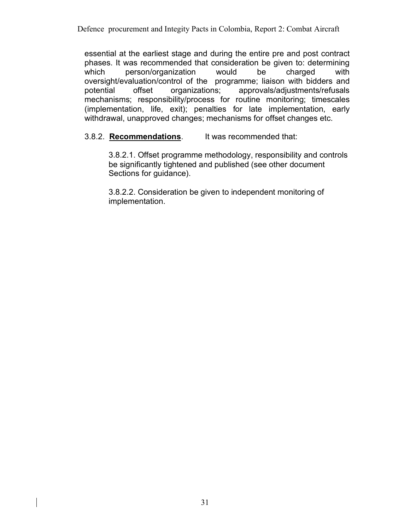essential at the earliest stage and during the entire pre and post contract phases. It was recommended that consideration be given to: determining which person/organization would be charged with oversight/evaluation/control of the programme; liaison with bidders and potential offset organizations; approvals/adjustments/refusals mechanisms; responsibility/process for routine monitoring; timescales (implementation, life, exit); penalties for late implementation, early withdrawal, unapproved changes; mechanisms for offset changes etc.

#### 3.8.2. **Recommendations**. It was recommended that:

3.8.2.1. Offset programme methodology, responsibility and controls be significantly tightened and published (see other document Sections for guidance).

3.8.2.2. Consideration be given to independent monitoring of implementation.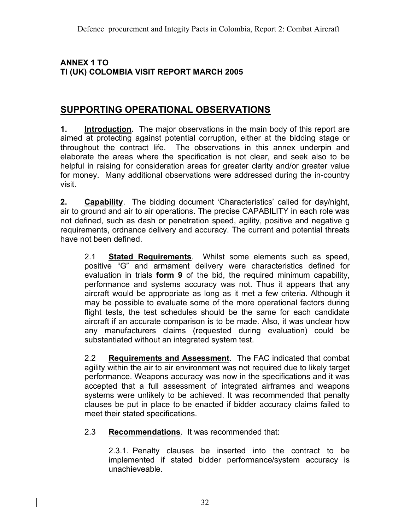#### **ANNEX 1 TO TI (UK) COLOMBIA VISIT REPORT MARCH 2005**

## **SUPPORTING OPERATIONAL OBSERVATIONS**

**1. Introduction.** The major observations in the main body of this report are aimed at protecting against potential corruption, either at the bidding stage or throughout the contract life. The observations in this annex underpin and elaborate the areas where the specification is not clear, and seek also to be helpful in raising for consideration areas for greater clarity and/or greater value for money. Many additional observations were addressed during the in-country visit.

**2. Capability**. The bidding document 'Characteristics' called for day/night, air to ground and air to air operations. The precise CAPABILITY in each role was not defined, such as dash or penetration speed, agility, positive and negative g requirements, ordnance delivery and accuracy. The current and potential threats have not been defined.

2.1 **Stated Requirements**. Whilst some elements such as speed, positive "G" and armament delivery were characteristics defined for evaluation in trials **form 9** of the bid, the required minimum capability, performance and systems accuracy was not. Thus it appears that any aircraft would be appropriate as long as it met a few criteria. Although it may be possible to evaluate some of the more operational factors during flight tests, the test schedules should be the same for each candidate aircraft if an accurate comparison is to be made. Also, it was unclear how any manufacturers claims (requested during evaluation) could be substantiated without an integrated system test.

2.2 **Requirements and Assessment**. The FAC indicated that combat agility within the air to air environment was not required due to likely target performance. Weapons accuracy was now in the specifications and it was accepted that a full assessment of integrated airframes and weapons systems were unlikely to be achieved. It was recommended that penalty clauses be put in place to be enacted if bidder accuracy claims failed to meet their stated specifications.

2.3 **Recommendations**. It was recommended that:

2.3.1. Penalty clauses be inserted into the contract to be implemented if stated bidder performance/system accuracy is unachieveable.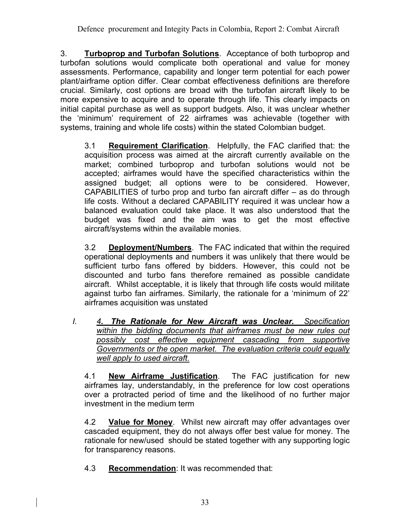3. **Turboprop and Turbofan Solutions**. Acceptance of both turboprop and turbofan solutions would complicate both operational and value for money assessments. Performance, capability and longer term potential for each power plant/airframe option differ. Clear combat effectiveness definitions are therefore crucial. Similarly, cost options are broad with the turbofan aircraft likely to be more expensive to acquire and to operate through life. This clearly impacts on initial capital purchase as well as support budgets. Also, it was unclear whether the 'minimum' requirement of 22 airframes was achievable (together with systems, training and whole life costs) within the stated Colombian budget.

3.1 **Requirement Clarification**. Helpfully, the FAC clarified that: the acquisition process was aimed at the aircraft currently available on the market; combined turboprop and turbofan solutions would not be accepted; airframes would have the specified characteristics within the assigned budget; all options were to be considered. However, CAPABILITIES of turbo prop and turbo fan aircraft differ – as do through life costs. Without a declared CAPABILITY required it was unclear how a balanced evaluation could take place. It was also understood that the budget was fixed and the aim was to get the most effective aircraft/systems within the available monies.

3.2 **Deployment/Numbers**. The FAC indicated that within the required operational deployments and numbers it was unlikely that there would be sufficient turbo fans offered by bidders. However, this could not be discounted and turbo fans therefore remained as possible candidate aircraft. Whilst acceptable, it is likely that through life costs would militate against turbo fan airframes. Similarly, the rationale for a 'minimum of 22' airframes acquisition was unstated

*I. 4. The Rationale for New Aircraft was Unclear. Specification within the bidding documents that airframes must be new rules out possibly cost effective equipment cascading from supportive Governments or the open market. The evaluation criteria could equally well apply to used aircraft.*

4.1 **New Airframe Justification**. The FAC justification for new airframes lay, understandably, in the preference for low cost operations over a protracted period of time and the likelihood of no further major investment in the medium term

4.2 **Value for Money**. Whilst new aircraft may offer advantages over cascaded equipment, they do not always offer best value for money. The rationale for new/used should be stated together with any supporting logic for transparency reasons.

4.3 **Recommendation**: It was recommended that: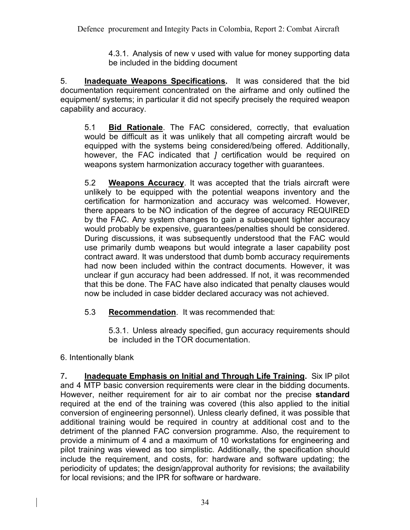4.3.1. Analysis of new v used with value for money supporting data be included in the bidding document

5. **Inadequate Weapons Specifications.** It was considered that the bid documentation requirement concentrated on the airframe and only outlined the equipment/ systems; in particular it did not specify precisely the required weapon capability and accuracy.

5.1 **Bid Rationale**. The FAC considered, correctly, that evaluation would be difficult as it was unlikely that all competing aircraft would be equipped with the systems being considered/being offered. Additionally, however, the FAC indicated that *]* certification would be required on weapons system harmonization accuracy together with guarantees.

5.2 **Weapons Accuracy**. It was accepted that the trials aircraft were unlikely to be equipped with the potential weapons inventory and the certification for harmonization and accuracy was welcomed. However, there appears to be NO indication of the degree of accuracy REQUIRED by the FAC. Any system changes to gain a subsequent tighter accuracy would probably be expensive, guarantees/penalties should be considered. During discussions, it was subsequently understood that the FAC would use primarily dumb weapons but would integrate a laser capability post contract award. It was understood that dumb bomb accuracy requirements had now been included within the contract documents. However, it was unclear if gun accuracy had been addressed. If not, it was recommended that this be done. The FAC have also indicated that penalty clauses would now be included in case bidder declared accuracy was not achieved.

5.3 **Recommendation**. It was recommended that:

5.3.1. Unless already specified, gun accuracy requirements should be included in the TOR documentation.

## 6. Intentionally blank

7**. Inadequate Emphasis on Initial and Through Life Training.** Six IP pilot and 4 MTP basic conversion requirements were clear in the bidding documents. However, neither requirement for air to air combat nor the precise **standard** required at the end of the training was covered (this also applied to the initial conversion of engineering personnel). Unless clearly defined, it was possible that additional training would be required in country at additional cost and to the detriment of the planned FAC conversion programme. Also, the requirement to provide a minimum of 4 and a maximum of 10 workstations for engineering and pilot training was viewed as too simplistic. Additionally, the specification should include the requirement, and costs, for: hardware and software updating; the periodicity of updates; the design/approval authority for revisions; the availability for local revisions; and the IPR for software or hardware.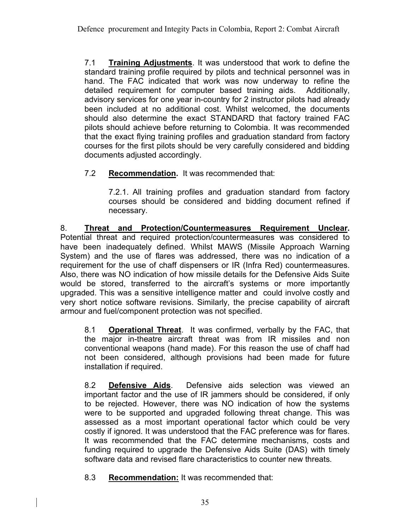7.1 **Training Adjustments**. It was understood that work to define the standard training profile required by pilots and technical personnel was in hand. The FAC indicated that work was now underway to refine the detailed requirement for computer based training aids. Additionally, advisory services for one year in-country for 2 instructor pilots had already been included at no additional cost. Whilst welcomed, the documents should also determine the exact STANDARD that factory trained FAC pilots should achieve before returning to Colombia. It was recommended that the exact flying training profiles and graduation standard from factory courses for the first pilots should be very carefully considered and bidding documents adjusted accordingly.

## 7.2 **Recommendation.** It was recommended that:

7.2.1. All training profiles and graduation standard from factory courses should be considered and bidding document refined if necessary.

8. **Threat and Protection/Countermeasures Requirement Unclear.**  Potential threat and required protection/countermeasures was considered to have been inadequately defined. Whilst MAWS (Missile Approach Warning System) and the use of flares was addressed, there was no indication of a requirement for the use of chaff dispensers or IR (Infra Red) countermeasures. Also, there was NO indication of how missile details for the Defensive Aids Suite would be stored, transferred to the aircraft's systems or more importantly upgraded. This was a sensitive intelligence matter and could involve costly and very short notice software revisions. Similarly, the precise capability of aircraft armour and fuel/component protection was not specified.

8.1 **Operational Threat**. It was confirmed, verbally by the FAC, that the major in-theatre aircraft threat was from IR missiles and non conventional weapons (hand made). For this reason the use of chaff had not been considered, although provisions had been made for future installation if required.

8.2 **Defensive Aids**. Defensive aids selection was viewed an important factor and the use of IR jammers should be considered, if only to be rejected. However, there was NO indication of how the systems were to be supported and upgraded following threat change. This was assessed as a most important operational factor which could be very costly if ignored. It was understood that the FAC preference was for flares. It was recommended that the FAC determine mechanisms, costs and funding required to upgrade the Defensive Aids Suite (DAS) with timely software data and revised flare characteristics to counter new threats.

8.3 **Recommendation:** It was recommended that: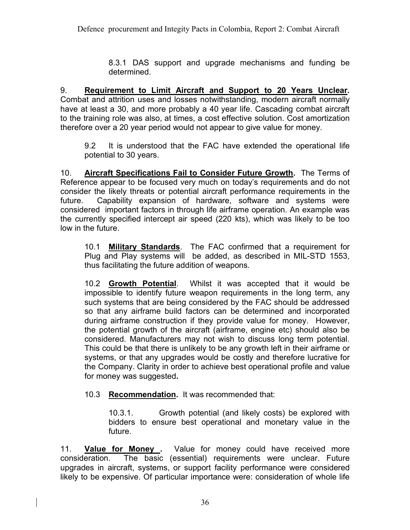8.3.1 DAS support and upgrade mechanisms and funding be determined.

9. **Requirement to Limit Aircraft and Support to 20 Years Unclear.**  Combat and attrition uses and losses notwithstanding, modern aircraft normally have at least a 30, and more probably a 40 year life. Cascading combat aircraft to the training role was also, at times, a cost effective solution. Cost amortization therefore over a 20 year period would not appear to give value for money.

9.2 It is understood that the FAC have extended the operational life potential to 30 years.

10. **Aircraft Specifications Fail to Consider Future Growth.** The Terms of Reference appear to be focused very much on today's requirements and do not consider the likely threats or potential aircraft performance requirements in the future. Capability expansion of hardware, software and systems were considered important factors in through life airframe operation. An example was the currently specified intercept air speed (220 kts), which was likely to be too low in the future.

10.1 **Military Standards**. The FAC confirmed that a requirement for Plug and Play systems will be added, as described in MIL-STD 1553, thus facilitating the future addition of weapons.

10.2 **Growth Potential**. Whilst it was accepted that it would be impossible to identify future weapon requirements in the long term, any such systems that are being considered by the FAC should be addressed so that any airframe build factors can be determined and incorporated during airframe construction if they provide value for money. However, the potential growth of the aircraft (airframe, engine etc) should also be considered. Manufacturers may not wish to discuss long term potential. This could be that there is unlikely to be any growth left in their airframe or systems, or that any upgrades would be costly and therefore lucrative for the Company. Clarity in order to achieve best operational profile and value for money was suggested**.**

## 10.3 **Recommendation.** It was recommended that:

10.3.1. Growth potential (and likely costs) be explored with bidders to ensure best operational and monetary value in the future.

11. **Value for Money .** Value for money could have received more consideration. The basic (essential) requirements were unclear. Future upgrades in aircraft, systems, or support facility performance were considered likely to be expensive. Of particular importance were: consideration of whole life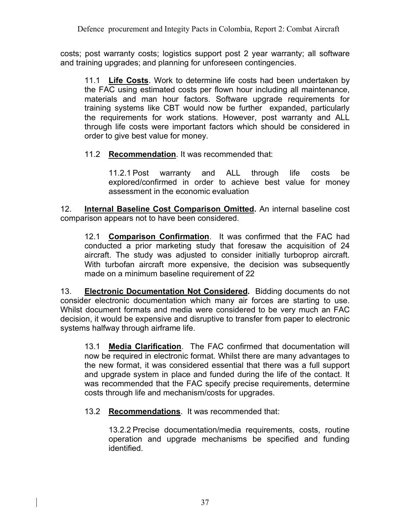costs; post warranty costs; logistics support post 2 year warranty; all software and training upgrades; and planning for unforeseen contingencies.

11.1 **Life Costs**. Work to determine life costs had been undertaken by the FAC using estimated costs per flown hour including all maintenance, materials and man hour factors. Software upgrade requirements for training systems like CBT would now be further expanded, particularly the requirements for work stations. However, post warranty and ALL through life costs were important factors which should be considered in order to give best value for money.

11.2 **Recommendation**. It was recommended that:

11.2.1 Post warranty and ALL through life costs be explored/confirmed in order to achieve best value for money assessment in the economic evaluation

12. **Internal Baseline Cost Comparison Omitted.** An internal baseline cost comparison appears not to have been considered.

12.1 **Comparison Confirmation**. It was confirmed that the FAC had conducted a prior marketing study that foresaw the acquisition of 24 aircraft. The study was adjusted to consider initially turboprop aircraft. With turbofan aircraft more expensive, the decision was subsequently made on a minimum baseline requirement of 22

13. **Electronic Documentation Not Considered.** Bidding documents do not consider electronic documentation which many air forces are starting to use. Whilst document formats and media were considered to be very much an FAC decision, it would be expensive and disruptive to transfer from paper to electronic systems halfway through airframe life.

13.1 **Media Clarification**. The FAC confirmed that documentation will now be required in electronic format. Whilst there are many advantages to the new format, it was considered essential that there was a full support and upgrade system in place and funded during the life of the contact. It was recommended that the FAC specify precise requirements, determine costs through life and mechanism/costs for upgrades.

13.2 **Recommendations**. It was recommended that:

13.2.2 Precise documentation/media requirements, costs, routine operation and upgrade mechanisms be specified and funding identified.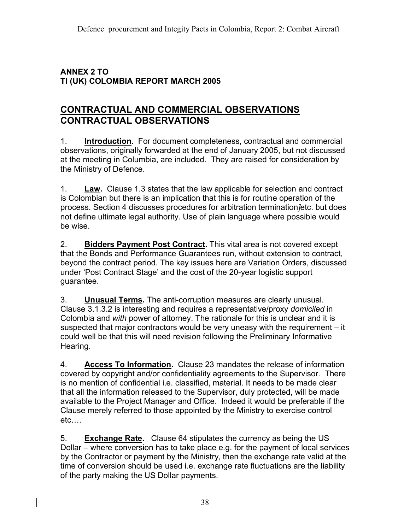#### **ANNEX 2 TO TI (UK) COLOMBIA REPORT MARCH 2005**

## **CONTRACTUAL AND COMMERCIAL OBSERVATIONS CONTRACTUAL OBSERVATIONS**

1. **Introduction**. For document completeness, contractual and commercial observations, originally forwarded at the end of January 2005, but not discussed at the meeting in Columbia, are included. They are raised for consideration by the Ministry of Defence.

1. **Law.** Clause 1.3 states that the law applicable for selection and contract is Colombian but there is an implication that this is for routine operation of the process. Section 4 discusses procedures for arbitration termination*]*etc. but does not define ultimate legal authority. Use of plain language where possible would be wise.

2. **Bidders Payment Post Contract.** This vital area is not covered except that the Bonds and Performance Guarantees run, without extension to contract, beyond the contract period. The key issues here are Variation Orders, discussed under 'Post Contract Stage' and the cost of the 20-year logistic support guarantee.

3. **Unusual Terms.** The anti-corruption measures are clearly unusual. Clause 3.1.3.2 is interesting and requires a representative/proxy *domiciled* in Colombia and *with* power of attorney. The rationale for this is unclear and it is suspected that major contractors would be very uneasy with the requirement – it could well be that this will need revision following the Preliminary Informative Hearing.

4. **Access To Information.** Clause 23 mandates the release of information covered by copyright and/or confidentiality agreements to the Supervisor. There is no mention of confidential i.e. classified, material. It needs to be made clear that all the information released to the Supervisor, duly protected, will be made available to the Project Manager and Office. Indeed it would be preferable if the Clause merely referred to those appointed by the Ministry to exercise control etc….

5. **Exchange Rate.** Clause 64 stipulates the currency as being the US Dollar – where conversion has to take place e.g. for the payment of local services by the Contractor or payment by the Ministry, then the exchange rate valid at the time of conversion should be used i.e. exchange rate fluctuations are the liability of the party making the US Dollar payments.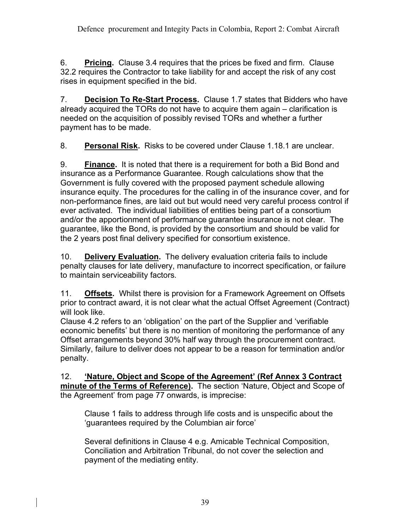6. **Pricing.** Clause 3.4 requires that the prices be fixed and firm. Clause 32.2 requires the Contractor to take liability for and accept the risk of any cost rises in equipment specified in the bid.

7. **Decision To Re-Start Process.** Clause 1.7 states that Bidders who have already acquired the TORs do not have to acquire them again – clarification is needed on the acquisition of possibly revised TORs and whether a further payment has to be made.

8. **Personal Risk.** Risks to be covered under Clause 1.18.1 are unclear.

9. **Finance.** It is noted that there is a requirement for both a Bid Bond and insurance as a Performance Guarantee. Rough calculations show that the Government is fully covered with the proposed payment schedule allowing insurance equity. The procedures for the calling in of the insurance cover, and for non-performance fines, are laid out but would need very careful process control if ever activated.The individual liabilities of entities being part of a consortium and/or the apportionment of performance guarantee insurance is not clear. The guarantee, like the Bond, is provided by the consortium and should be valid for the 2 years post final delivery specified for consortium existence.

10. **Delivery Evaluation.** The delivery evaluation criteria fails to include penalty clauses for late delivery, manufacture to incorrect specification, or failure to maintain serviceability factors.

11. **Offsets.** Whilst there is provision for a Framework Agreement on Offsets prior to contract award, it is not clear what the actual Offset Agreement (Contract) will look like.

Clause 4.2 refers to an 'obligation' on the part of the Supplier and 'verifiable economic benefits' but there is no mention of monitoring the performance of any Offset arrangements beyond 30% half way through the procurement contract. Similarly, failure to deliver does not appear to be a reason for termination and/or penalty.

12. **'Nature, Object and Scope of the Agreement' (Ref Annex 3 Contract minute of the Terms of Reference).** The section 'Nature, Object and Scope of the Agreement' from page 77 onwards, is imprecise:

Clause 1 fails to address through life costs and is unspecific about the 'guarantees required by the Columbian air force'

Several definitions in Clause 4 e.g. Amicable Technical Composition, Conciliation and Arbitration Tribunal, do not cover the selection and payment of the mediating entity.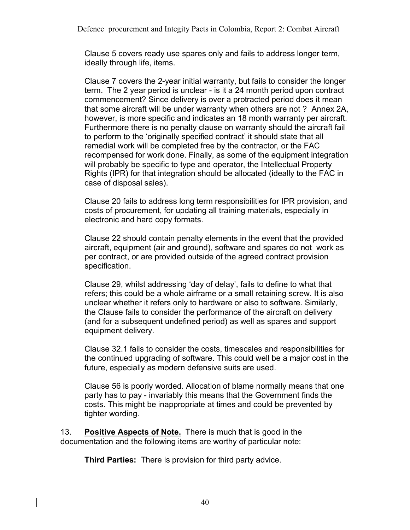Defence procurement and Integity Pacts in Colombia, Report 2: Combat Aircraft

Clause 5 covers ready use spares only and fails to address longer term, ideally through life, items.

Clause 7 covers the 2-year initial warranty, but fails to consider the longer term. The 2 year period is unclear - is it a 24 month period upon contract commencement? Since delivery is over a protracted period does it mean that some aircraft will be under warranty when others are not ? Annex 2A, however, is more specific and indicates an 18 month warranty per aircraft. Furthermore there is no penalty clause on warranty should the aircraft fail to perform to the 'originally specified contract' it should state that all remedial work will be completed free by the contractor, or the FAC recompensed for work done. Finally, as some of the equipment integration will probably be specific to type and operator, the Intellectual Property Rights (IPR) for that integration should be allocated (ideally to the FAC in case of disposal sales).

Clause 20 fails to address long term responsibilities for IPR provision, and costs of procurement, for updating all training materials, especially in electronic and hard copy formats.

Clause 22 should contain penalty elements in the event that the provided aircraft, equipment (air and ground), software and spares do not work as per contract, or are provided outside of the agreed contract provision specification.

Clause 29, whilst addressing 'day of delay', fails to define to what that refers; this could be a whole airframe or a small retaining screw. It is also unclear whether it refers only to hardware or also to software. Similarly, the Clause fails to consider the performance of the aircraft on delivery (and for a subsequent undefined period) as well as spares and support equipment delivery.

Clause 32.1 fails to consider the costs, timescales and responsibilities for the continued upgrading of software. This could well be a major cost in the future, especially as modern defensive suits are used.

Clause 56 is poorly worded. Allocation of blame normally means that one party has to pay - invariably this means that the Government finds the costs. This might be inappropriate at times and could be prevented by tighter wording.

13. **Positive Aspects of Note.** There is much that is good in the documentation and the following items are worthy of particular note:

**Third Parties:** There is provision for third party advice.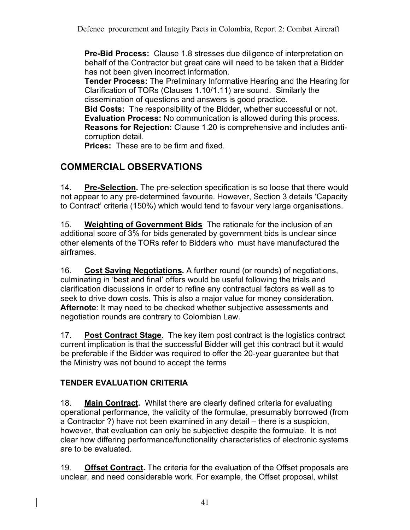**Pre-Bid Process:** Clause 1.8 stresses due diligence of interpretation on behalf of the Contractor but great care will need to be taken that a Bidder has not been given incorrect information.

**Tender Process:** The Preliminary Informative Hearing and the Hearing for Clarification of TORs (Clauses 1.10/1.11) are sound. Similarly the dissemination of questions and answers is good practice.

**Bid Costs:** The responsibility of the Bidder, whether successful or not. **Evaluation Process:** No communication is allowed during this process. **Reasons for Rejection:** Clause 1.20 is comprehensive and includes anticorruption detail.

**Prices:** These are to be firm and fixed.

## **COMMERCIAL OBSERVATIONS**

14. **Pre-Selection.** The pre-selection specification is so loose that there would not appear to any pre-determined favourite. However, Section 3 details 'Capacity to Contract' criteria (150%) which would tend to favour very large organisations.

15. **Weighting of Government Bids** The rationale for the inclusion of an additional score of 3% for bids generated by government bids is unclear since other elements of the TORs refer to Bidders who must have manufactured the airframes.

16. **Cost Saving Negotiations.** A further round (or rounds) of negotiations, culminating in 'best and final' offers would be useful following the trials and clarification discussions in order to refine any contractual factors as well as to seek to drive down costs. This is also a major value for money consideration. **Afternote**: It may need to be checked whether subjective assessments and negotiation rounds are contrary to Colombian Law.

17. **Post Contract Stage**. The key item post contract is the logistics contract current implication is that the successful Bidder will get this contract but it would be preferable if the Bidder was required to offer the 20-year guarantee but that the Ministry was not bound to accept the terms

## **TENDER EVALUATION CRITERIA**

18. **Main Contract.** Whilst there are clearly defined criteria for evaluating operational performance, the validity of the formulae, presumably borrowed (from a Contractor ?) have not been examined in any detail – there is a suspicion, however, that evaluation can only be subjective despite the formulae. It is not clear how differing performance/functionality characteristics of electronic systems are to be evaluated.

19. **Offset Contract.** The criteria for the evaluation of the Offset proposals are unclear, and need considerable work. For example, the Offset proposal, whilst